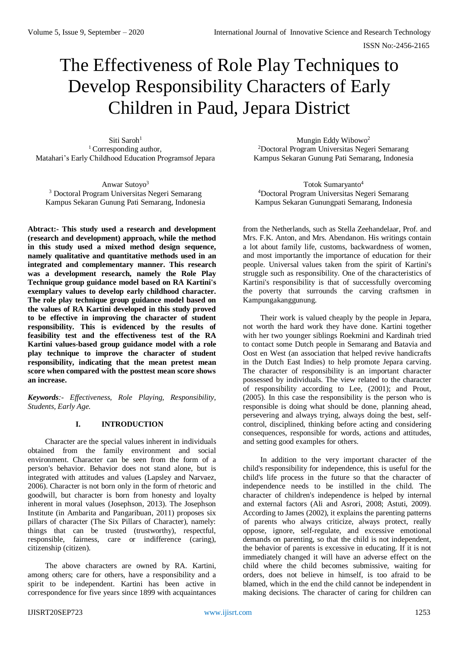# The Effectiveness of Role Play Techniques to Develop Responsibility Characters of Early Children in Paud, Jepara District

Siti Saroh<sup>1</sup> <sup>1</sup> Corresponding author, Matahari's Early Childhood Education Programsof Jepara

Anwar Sutoyo<sup>3</sup> <sup>3</sup> Doctoral Program Universitas Negeri Semarang Kampus Sekaran Gunung Pati Semarang, Indonesia

**Abtract:- This study used a research and development (research and development) approach, while the method in this study used a mixed method design sequence, namely qualitative and quantitative methods used in an integrated and complementary manner. This research was a development research, namely the Role Play Technique group guidance model based on RA Kartini's exemplary values to develop early childhood character. The role play technique group guidance model based on the values of RA Kartini developed in this study proved to be effective in improving the character of student responsibility. This is evidenced by the results of feasibility test and the effectiveness test of the RA Kartini values-based group guidance model with a role play technique to improve the character of student responsibility, indicating that the mean pretest mean score when compared with the posttest mean score shows an increase.**

*Keywords:- Effectiveness, Role Playing, Responsibility, Students, Early Age.*

### **I. INTRODUCTION**

Character are the special values inherent in individuals obtained from the family environment and social environment. Character can be seen from the form of a person's behavior. Behavior does not stand alone, but is integrated with attitudes and values (Lapsley and Narvaez, 2006). Character is not born only in the form of rhetoric and goodwill, but character is born from honesty and loyalty inherent in moral values (Josephson, 2013). The Josephson Institute (in Ambarita and Pangaribuan, 2011) proposes six pillars of character (The Six Pillars of Character), namely: things that can be trusted (trustworthy), respectful, responsible, fairness, care or indifference (caring), citizenship (citizen).

The above characters are owned by RA. Kartini, among others; care for others, have a responsibility and a spirit to be independent. Kartini has been active in correspondence for five years since 1899 with acquaintances

Mungin Eddy Wibowo<sup>2</sup> <sup>2</sup>Doctoral Program Universitas Negeri Semarang Kampus Sekaran Gunung Pati Semarang, Indonesia

Totok Sumaryanto<sup>4</sup> <sup>4</sup>Doctoral Program Universitas Negeri Semarang Kampus Sekaran Gunungpati Semarang, Indonesia

from the Netherlands, such as Stella Zeehandelaar, Prof. and Mrs. F.K. Anton, and Mrs. Abendanon. His writings contain a lot about family life, customs, backwardness of women, and most importantly the importance of education for their people. Universal values taken from the spirit of Kartini's struggle such as responsibility. One of the characteristics of Kartini's responsibility is that of successfully overcoming the poverty that surrounds the carving craftsmen in Kampungakanggunung.

Their work is valued cheaply by the people in Jepara, not worth the hard work they have done. Kartini together with her two younger siblings Roekmini and Kardinah tried to contact some Dutch people in Semarang and Batavia and Oost en West (an association that helped revive handicrafts in the Dutch East Indies) to help promote Jepara carving. The character of responsibility is an important character possessed by individuals. The view related to the character of responsibility according to Lee, (2001); and Prout, (2005). In this case the responsibility is the person who is responsible is doing what should be done, planning ahead, persevering and always trying, always doing the best, selfcontrol, disciplined, thinking before acting and considering consequences, responsible for words, actions and attitudes, and setting good examples for others.

In addition to the very important character of the child's responsibility for independence, this is useful for the child's life process in the future so that the character of independence needs to be instilled in the child. The character of children's independence is helped by internal and external factors (Ali and Asrori, 2008; Astuti, 2009). According to James (2002), it explains the parenting patterns of parents who always criticize, always protect, really oppose, ignore, self-regulate, and excessive emotional demands on parenting, so that the child is not independent, the behavior of parents is excessive in educating. If it is not immediately changed it will have an adverse effect on the child where the child becomes submissive, waiting for orders, does not believe in himself, is too afraid to be blamed, which in the end the child cannot be independent in making decisions. The character of caring for children can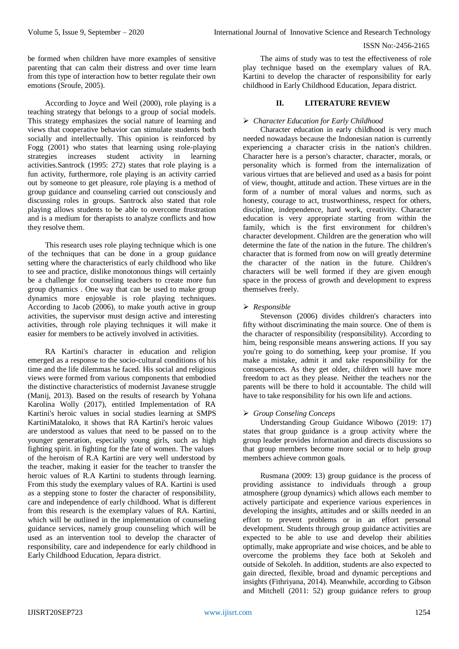be formed when children have more examples of sensitive parenting that can calm their distress and over time learn from this type of interaction how to better regulate their own emotions (Sroufe, 2005).

According to Joyce and Weil (2000), role playing is a teaching strategy that belongs to a group of social models. This strategy emphasizes the social nature of learning and views that cooperative behavior can stimulate students both socially and intellectually. This opinion is reinforced by Fogg (2001) who states that learning using role-playing strategies increases student activity in learning activities.Santrock (1995: 272) states that role playing is a fun activity, furthermore, role playing is an activity carried out by someone to get pleasure, role playing is a method of group guidance and counseling carried out consciously and discussing roles in groups. Santrock also stated that role playing allows students to be able to overcome frustration and is a medium for therapists to analyze conflicts and how they resolve them.

This research uses role playing technique which is one of the techniques that can be done in a group guidance setting where the characteristics of early childhood who like to see and practice, dislike monotonous things will certainly be a challenge for counseling teachers to create more fun group dynamics . One way that can be used to make group dynamics more enjoyable is role playing techniques. According to Jacob (2006), to make youth active in group activities, the supervisor must design active and interesting activities, through role playing techniques it will make it easier for members to be actively involved in activities.

RA Kartini's character in education and religion emerged as a response to the socio-cultural conditions of his time and the life dilemmas he faced. His social and religious views were formed from various components that embodied the distinctive characteristics of modernist Javanese struggle (Manij, 2013). Based on the results of research by Yohana Karolina Wolly (2017), entitled Implementation of RA Kartini's heroic values in social studies learning at SMPS KartiniMataloko, it shows that RA Kartini's heroic values are understood as values that need to be passed on to the younger generation, especially young girls, such as high fighting spirit. in fighting for the fate of women. The values of the heroism of R.A Kartini are very well understood by the teacher, making it easier for the teacher to transfer the heroic values of R.A Kartini to students through learning. From this study the exemplary values of RA. Kartini is used as a stepping stone to foster the character of responsibility, care and independence of early childhood. What is different from this research is the exemplary values of RA. Kartini, which will be outlined in the implementation of counseling guidance services, namely group counseling which will be used as an intervention tool to develop the character of responsibility, care and independence for early childhood in Early Childhood Education, Jepara district.

The aims of study was to test the effectiveness of role play technique based on the exemplary values of RA. Kartini to develop the character of responsibility for early childhood in Early Childhood Education, Jepara district.

# **II. LITERATURE REVIEW**

# *Character Education for Early Childhood*

Character education in early childhood is very much needed nowadays because the Indonesian nation is currently experiencing a character crisis in the nation's children. Character here is a person's character, character, morals, or personality which is formed from the internalization of various virtues that are believed and used as a basis for point of view, thought, attitude and action. These virtues are in the form of a number of moral values and norms, such as honesty, courage to act, trustworthiness, respect for others, discipline, independence, hard work, creativity. Character education is very appropriate starting from within the family, which is the first environment for children's character development. Children are the generation who will determine the fate of the nation in the future. The children's character that is formed from now on will greatly determine the character of the nation in the future. Children's characters will be well formed if they are given enough space in the process of growth and development to express themselves freely.

### *Responsible*

Stevenson (2006) divides children's characters into fifty without discriminating the main source. One of them is the character of responsibility (responsibility). According to him, being responsible means answering actions. If you say you're going to do something, keep your promise. If you make a mistake, admit it and take responsibility for the consequences. As they get older, children will have more freedom to act as they please. Neither the teachers nor the parents will be there to hold it accountable. The child will have to take responsibility for his own life and actions.

# *Group Conseling Conceps*

Understanding Group Guidance Wibowo (2019: 17) states that group guidance is a group activity where the group leader provides information and directs discussions so that group members become more social or to help group members achieve common goals.

Rusmana (2009: 13) group guidance is the process of providing assistance to individuals through a group atmosphere (group dynamics) which allows each member to actively participate and experience various experiences in developing the insights, attitudes and or skills needed in an effort to prevent problems or in an effort personal development. Students through group guidance activities are expected to be able to use and develop their abilities optimally, make appropriate and wise choices, and be able to overcome the problems they face both at Sekoleh and outside of Sekoleh. In addition, students are also expected to gain directed, flexible, broad and dynamic perceptions and insights (Fithriyana, 2014). Meanwhile, according to Gibson and Mitchell (2011: 52) group guidance refers to group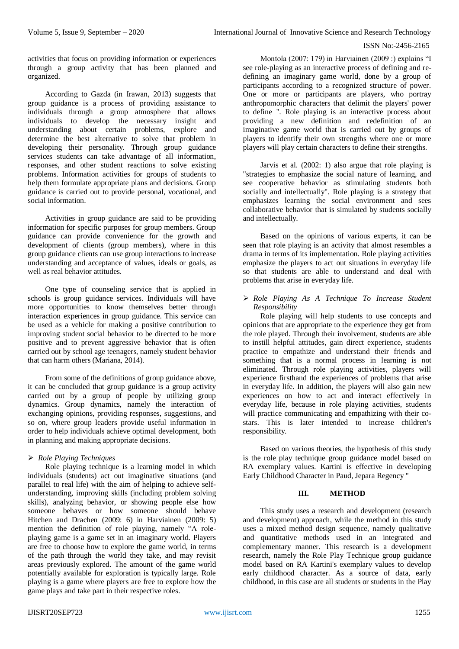activities that focus on providing information or experiences through a group activity that has been planned and organized.

According to Gazda (in Irawan, 2013) suggests that group guidance is a process of providing assistance to individuals through a group atmosphere that allows individuals to develop the necessary insight and understanding about certain problems, explore and determine the best alternative to solve that problem in developing their personality. Through group guidance services students can take advantage of all information, responses, and other student reactions to solve existing problems. Information activities for groups of students to help them formulate appropriate plans and decisions. Group guidance is carried out to provide personal, vocational, and social information.

Activities in group guidance are said to be providing information for specific purposes for group members. Group guidance can provide convenience for the growth and development of clients (group members), where in this group guidance clients can use group interactions to increase understanding and acceptance of values, ideals or goals, as well as real behavior attitudes.

One type of counseling service that is applied in schools is group guidance services. Individuals will have more opportunities to know themselves better through interaction experiences in group guidance. This service can be used as a vehicle for making a positive contribution to improving student social behavior to be directed to be more positive and to prevent aggressive behavior that is often carried out by school age teenagers, namely student behavior that can harm others (Mariana, 2014).

From some of the definitions of group guidance above, it can be concluded that group guidance is a group activity carried out by a group of people by utilizing group dynamics. Group dynamics, namely the interaction of exchanging opinions, providing responses, suggestions, and so on, where group leaders provide useful information in order to help individuals achieve optimal development, both in planning and making appropriate decisions.

### *Role Playing Techniques*

Role playing technique is a learning model in which individuals (students) act out imaginative situations (and parallel to real life) with the aim of helping to achieve selfunderstanding, improving skills (including problem solving skills), analyzing behavior, or showing people else how someone behaves or how someone should behave Hitchen and Drachen (2009: 6) in Harviainen (2009: 5) mention the definition of role playing, namely "A roleplaying game is a game set in an imaginary world. Players are free to choose how to explore the game world, in terms of the path through the world they take, and may revisit areas previously explored. The amount of the game world potentially available for exploration is typically large. Role playing is a game where players are free to explore how the game plays and take part in their respective roles.

Montola (2007: 179) in Harviainen (2009 :) explains "I see role-playing as an interactive process of defining and redefining an imaginary game world, done by a group of participants according to a recognized structure of power. One or more or participants are players, who portray anthropomorphic characters that delimit the players' power to define ". Role playing is an interactive process about providing a new definition and redefinition of an imaginative game world that is carried out by groups of players to identify their own strengths where one or more players will play certain characters to define their strengths.

Jarvis et al. (2002: 1) also argue that role playing is "strategies to emphasize the social nature of learning, and see cooperative behavior as stimulating students both socially and intellectually". Role playing is a strategy that emphasizes learning the social environment and sees collaborative behavior that is simulated by students socially and intellectually.

Based on the opinions of various experts, it can be seen that role playing is an activity that almost resembles a drama in terms of its implementation. Role playing activities emphasize the players to act out situations in everyday life so that students are able to understand and deal with problems that arise in everyday life.

## *Role Playing As A Technique To Increase Student Responsibility*

Role playing will help students to use concepts and opinions that are appropriate to the experience they get from the role played. Through their involvement, students are able to instill helpful attitudes, gain direct experience, students practice to empathize and understand their friends and something that is a normal process in learning is not eliminated. Through role playing activities, players will experience firsthand the experiences of problems that arise in everyday life. In addition, the players will also gain new experiences on how to act and interact effectively in everyday life, because in role playing activities, students will practice communicating and empathizing with their costars. This is later intended to increase children's responsibility.

Based on various theories, the hypothesis of this study is the role play technique group guidance model based on RA exemplary values. Kartini is effective in developing Early Childhood Character in Paud, Jepara Regency "

### **III. METHOD**

This study uses a research and development (research and development) approach, while the method in this study uses a mixed method design sequence, namely qualitative and quantitative methods used in an integrated and complementary manner. This research is a development research, namely the Role Play Technique group guidance model based on RA Kartini's exemplary values to develop early childhood character. As a source of data, early childhood, in this case are all students or students in the Play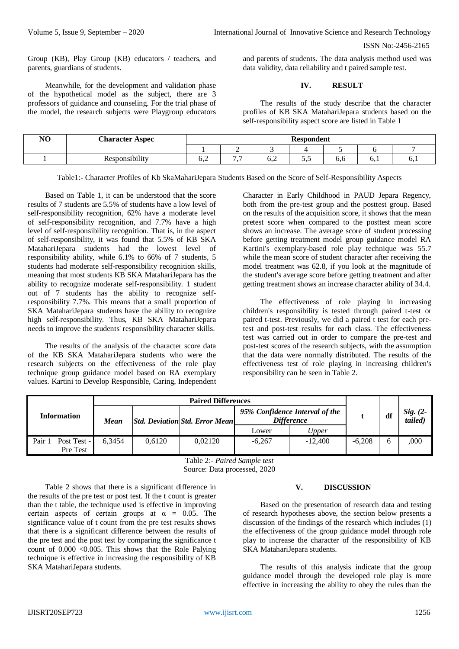Group (KB), Play Group (KB) educators / teachers, and parents, guardians of students.

Meanwhile, for the development and validation phase of the hypothetical model as the subject, there are 3 professors of guidance and counseling. For the trial phase of the model, the research subjects were Playgroup educators

and parents of students. The data analysis method used was data validity, data reliability and t paired sample test.

#### **IV. RESULT**

The results of the study describe that the character profiles of KB SKA MatahariJepara students based on the self-responsibility aspect score are listed in Table 1

| N <sub>O</sub> | <b>Character Aspec</b> | <b>Respondent</b> |                   |                         |    |     |     |    |  |  |
|----------------|------------------------|-------------------|-------------------|-------------------------|----|-----|-----|----|--|--|
|                |                        |                   | <b>1</b>          |                         |    |     |     |    |  |  |
|                | Responsibility         | ◡、∠               | $ -$<br>$\bullet$ | $\mathsf{u} \mathsf{v}$ | ັ້ | υ.υ | v.i | 0. |  |  |

Table1:- Character Profiles of Kb SkaMahariJepara Students Based on the Score of Self-Responsibility Aspects

Based on Table 1, it can be understood that the score results of 7 students are 5.5% of students have a low level of self-responsibility recognition, 62% have a moderate level of self-responsibility recognition, and 7.7% have a high level of self-responsibility recognition. That is, in the aspect of self-responsibility, it was found that 5.5% of KB SKA MatahariJepara students had the lowest level of responsibility ability, while 6.1% to 66% of 7 students, 5 students had moderate self-responsibility recognition skills, meaning that most students KB SKA MatahariJepara has the ability to recognize moderate self-responsibility. 1 student out of 7 students has the ability to recognize selfresponsibility 7.7%. This means that a small proportion of SKA MatahariJepara students have the ability to recognize high self-responsibility. Thus, KB SKA MatahariJepara needs to improve the students' responsibility character skills.

The results of the analysis of the character score data of the KB SKA MatahariJepara students who were the research subjects on the effectiveness of the role play technique group guidance model based on RA exemplary values. Kartini to Develop Responsible, Caring, Independent

Character in Early Childhood in PAUD Jepara Regency, both from the pre-test group and the posttest group. Based on the results of the acquisition score, it shows that the mean pretest score when compared to the posttest mean score shows an increase. The average score of student processing before getting treatment model group guidance model RA Kartini's exemplary-based role play technique was 55.7 while the mean score of student character after receiving the model treatment was 62.8, if you look at the magnitude of the student's average score before getting treatment and after getting treatment shows an increase character ability of 34.4.

The effectiveness of role playing in increasing children's responsibility is tested through paired t-test or paired t-test. Previously, we did a paired t test for each pretest and post-test results for each class. The effectiveness test was carried out in order to compare the pre-test and post-test scores of the research subjects, with the assumption that the data were normally distributed. The results of the effectiveness test of role playing in increasing children's responsibility can be seen in Table 2.

| Information                       | Mean   |        | <b>Std. Deviation Std. Error Mean</b> | 95% Confidence Interval of the<br><b>Difference</b> |           | df       | Sig. $(2-$<br>tailed) |      |
|-----------------------------------|--------|--------|---------------------------------------|-----------------------------------------------------|-----------|----------|-----------------------|------|
|                                   |        |        |                                       | Lower                                               | Upper     |          |                       |      |
| Post Test -<br>Pair 1<br>Pre Test | 6.3454 | 0.6120 | 0.02120                               | $-6.267$                                            | $-12,400$ | $-6.208$ | h                     | ,000 |

Table 2:- *Paired Sample test*

Source: Data processed, 2020

Table 2 shows that there is a significant difference in the results of the pre test or post test. If the t count is greater than the t table, the technique used is effective in improving certain aspects of certain groups at  $\alpha = 0.05$ . The significance value of t count from the pre test results shows that there is a significant difference between the results of the pre test and the post test by comparing the significance t count of  $0.000 < 0.005$ . This shows that the Role Palying technique is effective in increasing the responsibility of KB SKA MatahariJepara students.

#### **V. DISCUSSION**

Based on the presentation of research data and testing of research hypotheses above, the section below presents a discussion of the findings of the research which includes (1) the effectiveness of the group guidance model through role play to increase the character of the responsibility of KB SKA MatahariJepara students.

The results of this analysis indicate that the group guidance model through the developed role play is more effective in increasing the ability to obey the rules than the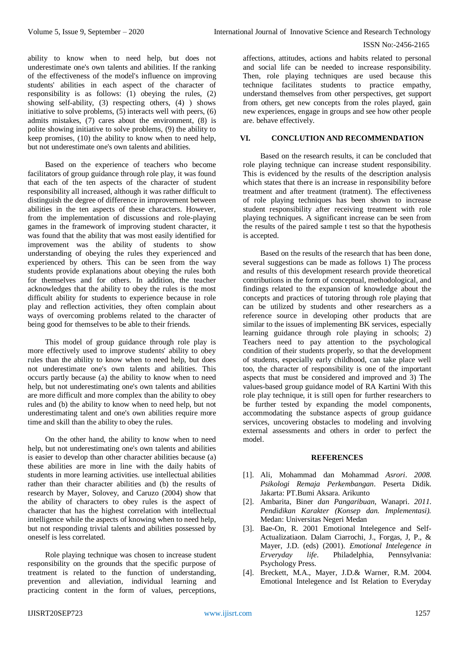ability to know when to need help, but does not underestimate one's own talents and abilities. If the ranking of the effectiveness of the model's influence on improving students' abilities in each aspect of the character of responsibility is as follows: (1) obeying the rules, (2) showing self-ability, (3) respecting others, (4) ) shows initiative to solve problems, (5) interacts well with peers, (6) admits mistakes, (7) cares about the environment, (8) is polite showing initiative to solve problems, (9) the ability to keep promises, (10) the ability to know when to need help, but not underestimate one's own talents and abilities.

Based on the experience of teachers who become facilitators of group guidance through role play, it was found that each of the ten aspects of the character of student responsibility all increased, although it was rather difficult to distinguish the degree of difference in improvement between abilities in the ten aspects of these characters. However, from the implementation of discussions and role-playing games in the framework of improving student character, it was found that the ability that was most easily identified for improvement was the ability of students to show understanding of obeying the rules they experienced and experienced by others. This can be seen from the way students provide explanations about obeying the rules both for themselves and for others. In addition, the teacher acknowledges that the ability to obey the rules is the most difficult ability for students to experience because in role play and reflection activities, they often complain about ways of overcoming problems related to the character of being good for themselves to be able to their friends.

This model of group guidance through role play is more effectively used to improve students' ability to obey rules than the ability to know when to need help, but does not underestimate one's own talents and abilities. This occurs partly because (a) the ability to know when to need help, but not underestimating one's own talents and abilities are more difficult and more complex than the ability to obey rules and (b) the ability to know when to need help, but not underestimating talent and one's own abilities require more time and skill than the ability to obey the rules.

On the other hand, the ability to know when to need help, but not underestimating one's own talents and abilities is easier to develop than other character abilities because (a) these abilities are more in line with the daily habits of students in more learning activities. use intellectual abilities rather than their character abilities and (b) the results of research by Mayer, Solovey, and Caruzo (2004) show that the ability of characters to obey rules is the aspect of character that has the highest correlation with intellectual intelligence while the aspects of knowing when to need help, but not responding trivial talents and abilities possessed by oneself is less correlated.

Role playing technique was chosen to increase student responsibility on the grounds that the specific purpose of treatment is related to the function of understanding, prevention and alleviation, individual learning and practicing content in the form of values, perceptions,

affections, attitudes, actions and habits related to personal and social life can be needed to increase responsibility. Then, role playing techniques are used because this technique facilitates students to practice empathy, understand themselves from other perspectives, get support from others, get new concepts from the roles played, gain new experiences, engage in groups and see how other people are. behave effectively.

## **VI. CONCLUTION AND RECOMMENDATION**

Based on the research results, it can be concluded that role playing technique can increase student responsibility. This is evidenced by the results of the description analysis which states that there is an increase in responsibility before treatment and after treatment (tratment). The effectiveness of role playing techniques has been shown to increase student responsibility after receiving treatment with role playing techniques. A significant increase can be seen from the results of the paired sample t test so that the hypothesis is accepted.

Based on the results of the research that has been done, several suggestions can be made as follows 1) The process and results of this development research provide theoretical contributions in the form of conceptual, methodological, and findings related to the expansion of knowledge about the concepts and practices of tutoring through role playing that can be utilized by students and other researchers as a reference source in developing other products that are similar to the issues of implementing BK services, especially learning guidance through role playing in schools; 2) Teachers need to pay attention to the psychological condition of their students properly, so that the development of students, especially early childhood, can take place well too, the character of responsibility is one of the important aspects that must be considered and improved and 3) The values-based group guidance model of RA Kartini With this role play technique, it is still open for further researchers to be further tested by expanding the model components, accommodating the substance aspects of group guidance services, uncovering obstacles to modeling and involving external assessments and others in order to perfect the model.

## **REFERENCES**

- [1]. Ali*,* Mohammad dan Mohammad *Asrori*. *2008*. *Psikologi Remaja Perkembangan*. Peserta Didik. Jakarta: PT.Bumi Aksara. Arikunto
- [2]. Ambarita, Biner *dan Pangaribuan*, Wanapri. *2011*. *Pendidikan Karakter (Konsep dan. Implementasi).* Medan: Universitas Negeri Medan
- [3]. Bae-On, R. 2001 Emotional Intelegence and Self-Actualizatiaon. Dalam Ciarrochi, J., Forgas, J, P., & Mayer, J.D. (eds) (2001). *Emotional Intelegence in Erveryday life*. Philadelphia, Pennsylvania: Psychology Press.
- [4]. Breckett, M.A., Mayer, J.D.& Warner, R.M. 2004. Emotional Intelegence and Ist Relation to Everyday